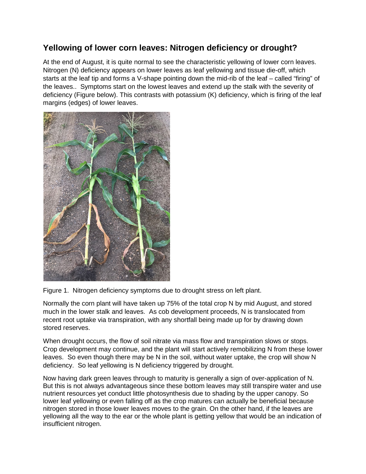## **Yellowing of lower corn leaves: Nitrogen deficiency or drought?**

At the end of August, it is quite normal to see the characteristic yellowing of lower corn leaves. Nitrogen (N) deficiency appears on lower leaves as leaf yellowing and tissue die-off, which starts at the leaf tip and forms a V-shape pointing down the mid-rib of the leaf – called "firing" of the leaves.. Symptoms start on the lowest leaves and extend up the stalk with the severity of deficiency (Figure below). This contrasts with potassium (K) deficiency, which is firing of the leaf margins (edges) of lower leaves.



Figure 1. Nitrogen deficiency symptoms due to drought stress on left plant.

Normally the corn plant will have taken up 75% of the total crop N by mid August, and stored much in the lower stalk and leaves. As cob development proceeds, N is translocated from recent root uptake via transpiration, with any shortfall being made up for by drawing down stored reserves.

When drought occurs, the flow of soil nitrate via mass flow and transpiration slows or stops. Crop development may continue, and the plant will start actively remobilizing N from these lower leaves. So even though there may be N in the soil, without water uptake, the crop will show N deficiency. So leaf yellowing is N deficiency triggered by drought.

Now having dark green leaves through to maturity is generally a sign of over-application of N. But this is not always advantageous since these bottom leaves may still transpire water and use nutrient resources yet conduct little photosynthesis due to shading by the upper canopy. So lower leaf yellowing or even falling off as the crop matures can actually be beneficial because nitrogen stored in those lower leaves moves to the grain. On the other hand, if the leaves are yellowing all the way to the ear or the whole plant is getting yellow that would be an indication of insufficient nitrogen.